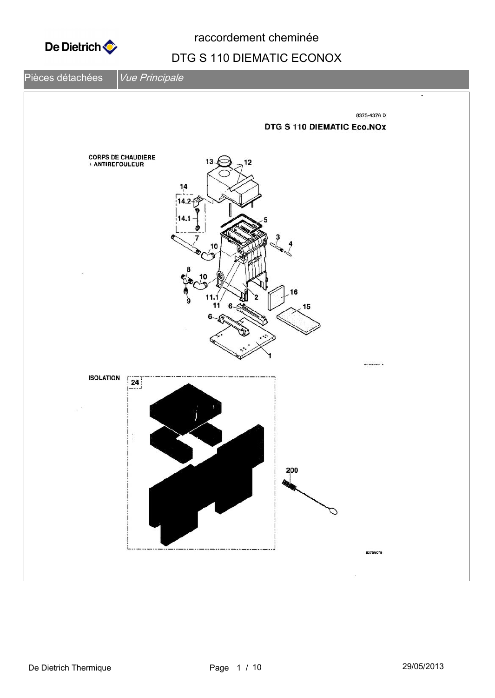

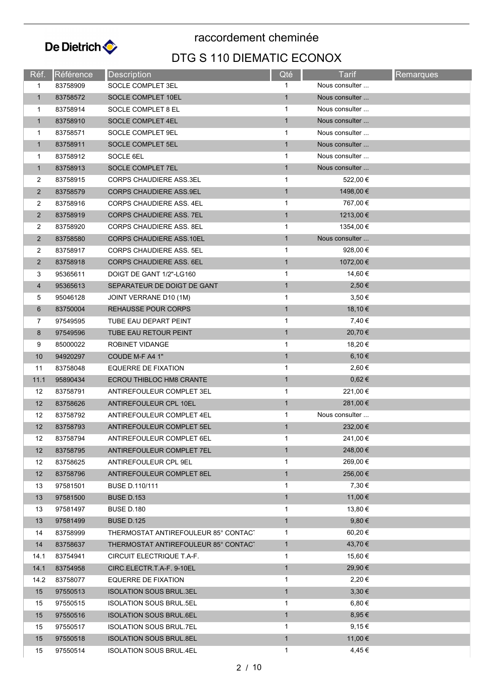

| Réf.           | Référence | <b>Description</b>                   | Qté          | Tarif          | Remarques |
|----------------|-----------|--------------------------------------|--------------|----------------|-----------|
| 1              | 83758909  | SOCLE COMPLET 3EL                    | $\mathbf{1}$ | Nous consulter |           |
| $\mathbf{1}$   | 83758572  | SOCLE COMPLET 10EL                   | 1            | Nous consulter |           |
| 1              | 83758914  | SOCLE COMPLET 8 EL                   | $\mathbf 1$  | Nous consulter |           |
| $\mathbf{1}$   | 83758910  | SOCLE COMPLET 4EL                    | $\mathbf{1}$ | Nous consulter |           |
| 1              | 83758571  | SOCLE COMPLET 9EL                    | 1            | Nous consulter |           |
| $\mathbf{1}$   | 83758911  | SOCLE COMPLET 5EL                    | $\mathbf{1}$ | Nous consulter |           |
| 1              | 83758912  | SOCLE 6EL                            | $\mathbf{1}$ | Nous consulter |           |
| $\mathbf{1}$   | 83758913  | <b>SOCLE COMPLET 7EL</b>             | 1            | Nous consulter |           |
| 2              | 83758915  | <b>CORPS CHAUDIERE ASS.3EL</b>       | 1            | 522,00 €       |           |
| $\overline{2}$ | 83758579  | <b>CORPS CHAUDIERE ASS.9EL</b>       | $\mathbf{1}$ | 1498,00 €      |           |
| 2              | 83758916  | CORPS CHAUDIERE ASS. 4EL             | $\mathbf{1}$ | 767,00 €       |           |
| $\overline{2}$ | 83758919  | <b>CORPS CHAUDIERE ASS. 7EL</b>      | 1            | 1213,00 €      |           |
| $\overline{2}$ | 83758920  | CORPS CHAUDIERE ASS. 8EL             | 1            | 1354,00 €      |           |
| $\overline{2}$ | 83758580  | <b>CORPS CHAUDIERE ASS.10EL</b>      | $\mathbf{1}$ | Nous consulter |           |
| $\overline{2}$ | 83758917  | <b>CORPS CHAUDIERE ASS, 5EL</b>      | 1            | 928,00 €       |           |
| $\overline{2}$ | 83758918  | <b>CORPS CHAUDIERE ASS. 6EL</b>      | $\mathbf{1}$ | 1072,00 €      |           |
| 3              | 95365611  | DOIGT DE GANT 1/2"-LG160             | 1            | 14,60 €        |           |
| $\overline{4}$ | 95365613  | SEPARATEUR DE DOIGT DE GANT          | $\mathbf{1}$ | 2,50 €         |           |
| 5              | 95046128  | JOINT VERRANE D10 (1M)               | $\mathbf{1}$ | 3,50€          |           |
| 6              | 83750004  | <b>REHAUSSE POUR CORPS</b>           | $\mathbf{1}$ | 18,10 €        |           |
| 7              | 97549595  | TUBE EAU DEPART PEINT                | 1            | 7,40 €         |           |
| 8              | 97549596  | TUBE EAU RETOUR PEINT                | $\mathbf{1}$ | 20,70 €        |           |
| 9              | 85000022  | ROBINET VIDANGE                      | 1            | 18,20 €        |           |
| 10             | 94920297  | COUDE M-F A4 1"                      | $\mathbf{1}$ | 6,10 €         |           |
| 11             | 83758048  | EQUERRE DE FIXATION                  | 1            | 2,60 €         |           |
| 11.1           | 95890434  | ECROU THIBLOC HM8 CRANTE             | $\mathbf{1}$ | $0,62 \in$     |           |
| 12             | 83758791  | ANTIREFOULEUR COMPLET 3EL            | 1            | 221,00 €       |           |
| 12             | 83758626  | ANTIREFOULEUR CPL 10EL               | $\mathbf{1}$ | 281,00 €       |           |
| 12             | 83758792  | ANTIREFOULEUR COMPLET 4EL            | $\mathbf{1}$ | Nous consulter |           |
| 12             | 83758793  | ANTIREFOULEUR COMPLET 5EL            | $\mathbf{1}$ | 232,00 €       |           |
| 12             | 83758794  | ANTIREFOULEUR COMPLET 6EL            | 1            | 241,00 €       |           |
| 12             | 83758795  | ANTIREFOULEUR COMPLET 7EL            | $\mathbf{1}$ | 248,00 €       |           |
| 12             | 83758625  | ANTIREFOULEUR CPL 9EL                | 1            | 269,00 €       |           |
| 12             | 83758796  | ANTIREFOULEUR COMPLET 8EL            | $\mathbf{1}$ | 256,00 €       |           |
| 13             | 97581501  | BUSE D.110/111                       | 1            | 7,30 €         |           |
| 13             | 97581500  | <b>BUSE D.153</b>                    | $\mathbf{1}$ | 11,00 €        |           |
| 13             | 97581497  | BUSE D.180                           | 1            | 13,80 €        |           |
| 13             | 97581499  | <b>BUSE D.125</b>                    | $\mathbf{1}$ | $9,80 \in$     |           |
| 14             | 83758999  | THERMOSTAT ANTIREFOULEUR 85° CONTACT | 1            | 60,20 €        |           |
| 14             | 83758637  | THERMOSTAT ANTIREFOULEUR 85° CONTAC' | $\mathbf{1}$ | 43,70 €        |           |
| 14.1           | 83754941  | CIRCUIT ELECTRIQUE T.A-F.            | 1            | 15,60 €        |           |
| 14.1           | 83754958  | CIRC.ELECTR.T.A-F. 9-10EL            | $\mathbf{1}$ | 29,90 €        |           |
| 14.2           | 83758077  | <b>EQUERRE DE FIXATION</b>           | 1            | 2,20 €         |           |
| 15             | 97550513  | <b>ISOLATION SOUS BRUL.3EL</b>       | $\mathbf{1}$ | $3,30 \in$     |           |
| 15             | 97550515  | <b>ISOLATION SOUS BRUL.5EL</b>       | 1            | 6,80 €         |           |
| 15             | 97550516  | <b>ISOLATION SOUS BRUL.6EL</b>       | $\mathbf{1}$ | $8,95 \in$     |           |
| 15             | 97550517  | <b>ISOLATION SOUS BRUL.7EL</b>       | 1            | $9,15 \in$     |           |
| 15             | 97550518  | <b>ISOLATION SOUS BRUL.8EL</b>       | $\mathbf{1}$ | 11,00 €        |           |
| 15             | 97550514  | <b>ISOLATION SOUS BRUL.4EL</b>       | $\mathbf{1}$ | 4,45 €         |           |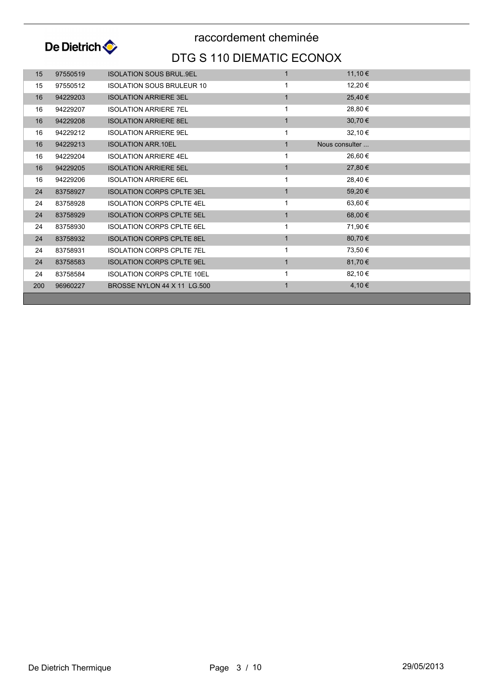

| 15  | 97550519 | <b>ISOLATION SOUS BRUL.9EL</b>    |                | 11,10 €        |  |
|-----|----------|-----------------------------------|----------------|----------------|--|
| 15  | 97550512 | <b>ISOLATION SOUS BRULEUR 10</b>  |                | 12,20 €        |  |
| 16  | 94229203 | <b>ISOLATION ARRIERE 3EL</b>      | 1              | 25,40 €        |  |
| 16  | 94229207 | <b>ISOLATION ARRIERE 7EL</b>      | 1              | 28,80 €        |  |
| 16  | 94229208 | <b>ISOLATION ARRIERE 8EL</b>      | $\mathbf{1}$   | 30,70 €        |  |
| 16  | 94229212 | <b>ISOLATION ARRIERE 9EL</b>      | 1              | 32,10 €        |  |
| 16  | 94229213 | <b>ISOLATION ARR.10EL</b>         | $\mathbf{1}$   | Nous consulter |  |
| 16  | 94229204 | <b>ISOLATION ARRIERE 4EL</b>      | 1              | 26,60 €        |  |
| 16  | 94229205 | <b>ISOLATION ARRIERE 5EL</b>      | 1              | 27,80 €        |  |
| 16  | 94229206 | <b>ISOLATION ARRIERE 6EL</b>      | 1              | 28,40 €        |  |
| 24  | 83758927 | <b>ISOLATION CORPS CPLTE 3EL</b>  | $\overline{1}$ | 59,20 €        |  |
| 24  | 83758928 | <b>ISOLATION CORPS CPLTE 4EL</b>  | 1              | 63,60 €        |  |
| 24  | 83758929 | <b>ISOLATION CORPS CPLTE 5EL</b>  | 1              | 68,00 €        |  |
| 24  | 83758930 | <b>ISOLATION CORPS CPLTE 6EL</b>  | 1              | 71,90 €        |  |
| 24  | 83758932 | <b>ISOLATION CORPS CPLTE 8EL</b>  | $\mathbf{1}$   | 80,70 €        |  |
| 24  | 83758931 | <b>ISOLATION CORPS CPLTE 7EL</b>  |                | 73,50 €        |  |
| 24  | 83758583 | <b>ISOLATION CORPS CPLTE 9EL</b>  | $\mathbf{1}$   | 81,70 €        |  |
| 24  | 83758584 | <b>ISOLATION CORPS CPLTE 10EL</b> | 1              | 82,10 €        |  |
| 200 | 96960227 | BROSSE NYLON 44 X 11 LG.500       |                | 4,10 €         |  |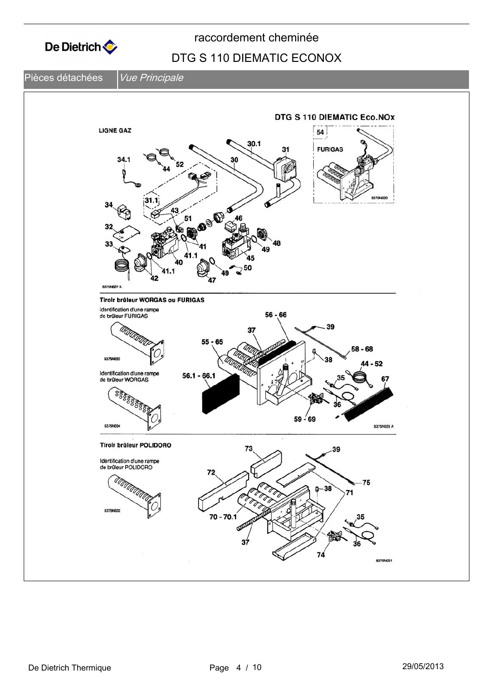



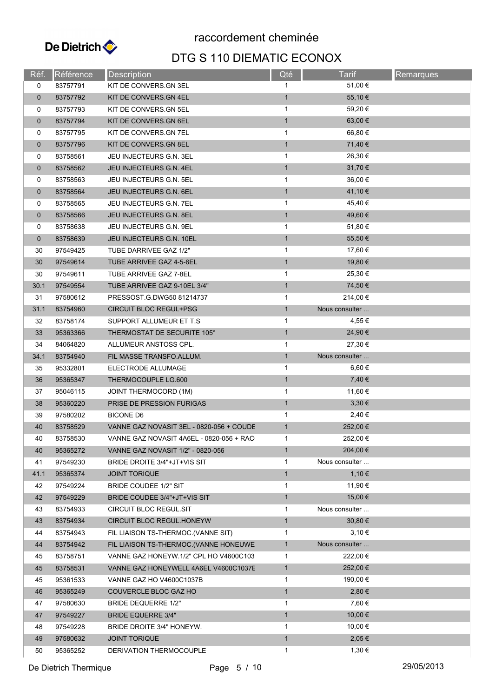

| Réf.        | Référence | Description                              | Qté          | Tarif                     | <b>Remarques</b> |
|-------------|-----------|------------------------------------------|--------------|---------------------------|------------------|
| 0           | 83757791  | KIT DE CONVERS.GN 3EL                    | 1            | 51,00 €                   |                  |
| $\mathbf 0$ | 83757792  | KIT DE CONVERS.GN 4EL                    | $\mathbf{1}$ | 55,10€                    |                  |
| 0           | 83757793  | KIT DE CONVERS.GN 5EL                    | $\mathbf{1}$ | 59,20 €                   |                  |
| $\mathbf 0$ | 83757794  | KIT DE CONVERS.GN 6EL                    | $\mathbf{1}$ | 63,00 €                   |                  |
| 0           | 83757795  | KIT DE CONVERS.GN 7EL                    | 1            | 66,80 €                   |                  |
| $\mathbf 0$ | 83757796  | KIT DE CONVERS. GN 8EL                   | $\mathbf{1}$ | 71,40 €                   |                  |
| 0           | 83758561  | JEU INJECTEURS G.N. 3EL                  | $\mathbf{1}$ | 26,30 €                   |                  |
| $\mathbf 0$ | 83758562  | JEU INJECTEURS G.N. 4EL                  | $\mathbf{1}$ | 31,70 €                   |                  |
| 0           | 83758563  | JEU INJECTEURS G.N. 5EL                  | $\mathbf{1}$ | 36,00 €                   |                  |
| $\mathbf 0$ | 83758564  | JEU INJECTEURS G.N. 6EL                  | $\mathbf{1}$ | 41,10 €                   |                  |
| 0           | 83758565  | JEU INJECTEURS G.N. 7EL                  | $\mathbf{1}$ | 45,40 €                   |                  |
| $\mathbf 0$ | 83758566  | <b>JEU INJECTEURS G.N. 8EL</b>           | $\mathbf{1}$ | 49,60 €                   |                  |
| 0           | 83758638  | JEU INJECTEURS G.N. 9EL                  | 1            | 51,80 €                   |                  |
| $\mathbf 0$ | 83758639  | JEU INJECTEURS G.N. 10EL                 | $\mathbf{1}$ | 55,50 €                   |                  |
| 30          | 97549425  | TUBE DARRIVEE GAZ 1/2"                   | $\mathbf{1}$ | 17,60 €                   |                  |
| 30          | 97549614  | TUBE ARRIVEE GAZ 4-5-6EL                 | $\mathbf{1}$ | 19,80 €                   |                  |
| 30          | 97549611  | TUBE ARRIVEE GAZ 7-8EL                   | 1            | 25,30 €                   |                  |
| 30.1        | 97549554  | TUBE ARRIVEE GAZ 9-10EL 3/4"             | $\mathbf{1}$ | 74,50 €                   |                  |
| 31          | 97580612  | PRESSOST.G.DWG50 81214737                | $\mathbf{1}$ | 214,00 €                  |                  |
| 31.1        | 83754960  | <b>CIRCUIT BLOC REGUL+PSG</b>            | $\mathbf{1}$ | Nous consulter            |                  |
| 32          | 83758174  | SUPPORT ALLUMEUR ET T.S                  | $\mathbf{1}$ | 4,55 €                    |                  |
| 33          | 95363366  | THERMOSTAT DE SECURITE 105°              | $\mathbf{1}$ | 24,90 €                   |                  |
| 34          | 84064820  | ALLUMEUR ANSTOSS CPL.                    | $\mathbf{1}$ | 27,30 €                   |                  |
| 34.1        | 83754940  | FIL MASSE TRANSFO.ALLUM.                 | $\mathbf{1}$ | Nous consulter            |                  |
| 35          | 95332801  | ELECTRODE ALLUMAGE                       | $\mathbf{1}$ | 6,60 $\epsilon$           |                  |
| 36          | 95365347  | THERMOCOUPLE LG.600                      | $\mathbf{1}$ | 7,40 €                    |                  |
| 37          | 95046115  | <b>JOINT THERMOCORD (1M)</b>             | 1            | 11,60 €                   |                  |
| 38          | 95360220  | PRISE DE PRESSION FURIGAS                | $\mathbf{1}$ | 3,30€                     |                  |
| 39          | 97580202  | BICONE D6                                | $\mathbf{1}$ | 2,40 €                    |                  |
| 40          | 83758529  | VANNE GAZ NOVASIT 3EL - 0820-056 + COUDE | $\mathbf{1}$ | 252,00 €                  |                  |
| 40          | 83758530  | VANNE GAZ NOVASIT 4A6EL - 0820-056 + RAC | 1            | 252,00 €                  |                  |
| 40          | 95365272  | VANNE GAZ NOVASIT 1/2" - 0820-056        | $\mathbf{1}$ | 204,00 €                  |                  |
| 41          | 97549230  | BRIDE DROITE 3/4"+JT+VIS SIT             | $\mathbf{1}$ | Nous consulter            |                  |
| 41.1        | 95365374  | <b>JOINT TORIQUE</b>                     | $\mathbf{1}$ | 1,10 €                    |                  |
|             |           |                                          | 1            | 11,90 €                   |                  |
| 42          | 97549224  | <b>BRIDE COUDEE 1/2" SIT</b>             |              |                           |                  |
| 42          | 97549229  | BRIDE COUDEE 3/4"+JT+VIS SIT             | $\mathbf{1}$ | 15,00 €<br>Nous consulter |                  |
| 43          | 83754933  | CIRCUIT BLOC REGUL.SIT                   | $\mathbf 1$  | 30,80 €                   |                  |
| 43          | 83754934  | CIRCUIT BLOC REGUL.HONEYW                | $\mathbf{1}$ |                           |                  |
| 44          | 83754943  | FIL LIAISON TS-THERMOC. (VANNE SIT)      | 1            | $3,10 \in$                |                  |
| 44          | 83754942  | FIL LIAISON TS-THERMOC.(VANNE HONEUWE    | $\mathbf{1}$ | Nous consulter            |                  |
| 45          | 83758751  | VANNE GAZ HONEYW.1/2" CPL HO V4600C103   | 1            | 222,00 €                  |                  |
| 45          | 83758531  | VANNE GAZ HONEYWELL 4A6EL V4600C1037E    | $\mathbf{1}$ | 252,00 €                  |                  |
| 45          | 95361533  | VANNE GAZ HO V4600C1037B                 | $\mathbf 1$  | 190,00 €                  |                  |
| 46          | 95365249  | COUVERCLE BLOC GAZ HO                    | $\mathbf{1}$ | 2,80€                     |                  |
| 47          | 97580630  | BRIDE DEQUERRE 1/2"                      | $\mathbf{1}$ | 7,60 €                    |                  |
| 47          | 97549227  | <b>BRIDE EQUERRE 3/4"</b>                | $\mathbf{1}$ | 10,00 €                   |                  |
| 48          | 97549228  | BRIDE DROITE 3/4" HONEYW.                | $\mathbf{1}$ | 10,00 €                   |                  |
| 49          | 97580632  | <b>JOINT TORIQUE</b>                     | $\mathbf{1}$ | 2,05€                     |                  |
| 50          | 95365252  | DERIVATION THERMOCOUPLE                  | 1            | 1,30 €                    |                  |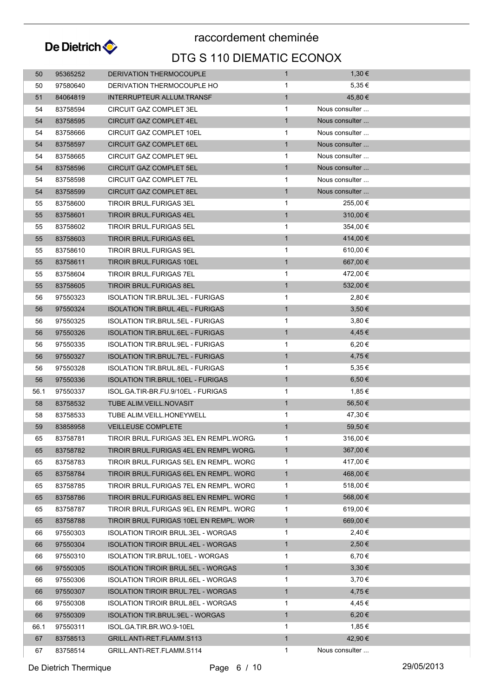

## DTG S 110 DIEMATIC ECONOX raccordement cheminée

| 50   | 95365252 | DERIVATION THERMOCOUPLE                   | $\mathbf{1}$ | 1,30 €         |  |
|------|----------|-------------------------------------------|--------------|----------------|--|
| 50   | 97580640 | DERIVATION THERMOCOUPLE HO                | 1            | 5,35 €         |  |
| 51   | 84064819 | INTERRUPTEUR ALLUM.TRANSF                 | $\mathbf{1}$ | 45,80 €        |  |
| 54   | 83758594 | <b>CIRCUIT GAZ COMPLET 3EL</b>            | $\mathbf{1}$ | Nous consulter |  |
| 54   | 83758595 | <b>CIRCUIT GAZ COMPLET 4EL</b>            | $\mathbf{1}$ | Nous consulter |  |
| 54   | 83758666 | CIRCUIT GAZ COMPLET 10EL                  | 1            | Nous consulter |  |
| 54   | 83758597 | CIRCUIT GAZ COMPLET 6EL                   | $\mathbf{1}$ | Nous consulter |  |
| 54   | 83758665 | CIRCUIT GAZ COMPLET 9EL                   | 1            | Nous consulter |  |
| 54   | 83758596 | <b>CIRCUIT GAZ COMPLET 5EL</b>            | $\mathbf{1}$ | Nous consulter |  |
| 54   | 83758598 | <b>CIRCUIT GAZ COMPLET 7EL</b>            | 1            | Nous consulter |  |
| 54   | 83758599 | <b>CIRCUIT GAZ COMPLET 8EL</b>            | $\mathbf{1}$ | Nous consulter |  |
| 55   | 83758600 | <b>TIROIR BRUL FURIGAS 3EL</b>            | 1            | 255,00 €       |  |
| 55   | 83758601 | TIROIR BRUL.FURIGAS 4EL                   | $\mathbf{1}$ | 310,00 €       |  |
| 55   | 83758602 | TIROIR BRUL.FURIGAS 5EL                   | $\mathbf{1}$ | 354,00 €       |  |
| 55   | 83758603 | <b>TIROIR BRUL FURIGAS 6EL</b>            | $\mathbf{1}$ | 414,00 €       |  |
| 55   | 83758610 | <b>TIROIR BRUL FURIGAS 9EL</b>            | 1            | 610,00 €       |  |
| 55   | 83758611 | <b>TIROIR BRUL FURIGAS 10EL</b>           | $\mathbf{1}$ | 667,00 €       |  |
| 55   | 83758604 | TIROIR BRUL.FURIGAS 7EL                   | 1            | 472,00 €       |  |
| 55   | 83758605 | <b>TIROIR BRUL.FURIGAS 8EL</b>            | $\mathbf{1}$ | 532,00 €       |  |
| 56   | 97550323 | <b>ISOLATION TIR.BRUL.3EL - FURIGAS</b>   | $\mathbf{1}$ | 2,80 €         |  |
| 56   | 97550324 | ISOLATION TIR.BRUL.4EL - FURIGAS          | $\mathbf{1}$ | 3,50 €         |  |
| 56   | 97550325 | <b>ISOLATION TIR.BRUL.5EL - FURIGAS</b>   | 1            | 3,80€          |  |
| 56   | 97550326 | <b>ISOLATION TIR.BRUL.6EL - FURIGAS</b>   | $\mathbf{1}$ | 4,45€          |  |
| 56   | 97550335 | ISOLATION TIR.BRUL.9EL - FURIGAS          | 1            | 6,20 €         |  |
| 56   | 97550327 | ISOLATION TIR.BRUL.7EL - FURIGAS          | $\mathbf{1}$ | 4,75€          |  |
| 56   | 97550328 | <b>ISOLATION TIR.BRUL.8EL - FURIGAS</b>   | 1            | 5,35 €         |  |
| 56   | 97550336 | <b>ISOLATION TIR.BRUL.10EL - FURIGAS</b>  | $\mathbf{1}$ | 6,50€          |  |
| 56.1 | 97550337 | ISOL.GA.TIR-BR.FU.9/10EL - FURIGAS        | 1            | 1,85 €         |  |
| 58   | 83758532 | TUBE ALIM.VEILL.NOVASIT                   | $\mathbf{1}$ | 56,50 €        |  |
| 58   | 83758533 | TUBE ALIM.VEILL.HONEYWELL                 | 1            | 47,30 €        |  |
| 59   | 83858958 | <b>VEILLEUSE COMPLETE</b>                 | $\mathbf{1}$ | 59,50€         |  |
| 65   | 83758781 | TIROIR BRUL FURIGAS 3EL EN REMPL WORG.    | 1            | 316,00 €       |  |
| 65   | 83758782 | TIROIR BRUL FURIGAS 4EL EN REMPL WORG.    | $\mathbf{1}$ | 367,00 €       |  |
| 65   | 83758783 | TIROIR BRUL.FURIGAS 5EL EN REMPL. WORC    | 1            | 417,00 €       |  |
| 65   | 83758784 | TIROIR BRUL.FURIGAS 6EL EN REMPL. WORC    | $\mathbf{1}$ | 468,00 €       |  |
| 65   | 83758785 | TIROIR BRUL FURIGAS 7EL EN REMPL. WORC    | 1            | 518,00 €       |  |
| 65   | 83758786 | TIROIR BRUL FURIGAS 8EL EN REMPL. WORC    | $\mathbf{1}$ | 568,00 €       |  |
| 65   | 83758787 | TIROIR BRUL.FURIGAS 9EL EN REMPL. WORC    | 1            | 619,00 €       |  |
| 65   | 83758788 | TIROIR BRUL FURIGAS 10EL EN REMPL. WOR    | $\mathbf{1}$ | 669,00€        |  |
| 66   | 97550303 | <b>ISOLATION TIROIR BRUL.3EL - WORGAS</b> | 1            | 2,40 €         |  |
| 66   | 97550304 | <b>ISOLATION TIROIR BRUL.4EL - WORGAS</b> | $\mathbf{1}$ | 2,50 €         |  |
| 66   | 97550310 | <b>ISOLATION TIR BRUL 10EL - WORGAS</b>   | 1            | 6,70€          |  |
| 66   | 97550305 | <b>ISOLATION TIROIR BRUL.5EL - WORGAS</b> | $\mathbf{1}$ | $3,30 \in$     |  |
| 66   | 97550306 | <b>ISOLATION TIROIR BRUL.6EL - WORGAS</b> | 1            | 3,70€          |  |
| 66   | 97550307 | <b>ISOLATION TIROIR BRUL.7EL - WORGAS</b> | $\mathbf{1}$ | 4,75€          |  |
| 66   | 97550308 | <b>ISOLATION TIROIR BRUL.8EL - WORGAS</b> | 1            | 4,45 €         |  |
| 66   | 97550309 | ISOLATION TIR.BRUL.9EL - WORGAS           | $\mathbf{1}$ | 6,20€          |  |
| 66.1 | 97550311 | ISOL.GA.TIR.BR.WO.9-10EL                  | 1            | 1,85 €         |  |
| 67   | 83758513 | GRILL.ANTI-RET.FLAMM.S113                 | $\mathbf{1}$ | 42,90 €        |  |
| 67   | 83758514 | GRILL.ANTI-RET.FLAMM.S114                 | $\mathbf 1$  | Nous consulter |  |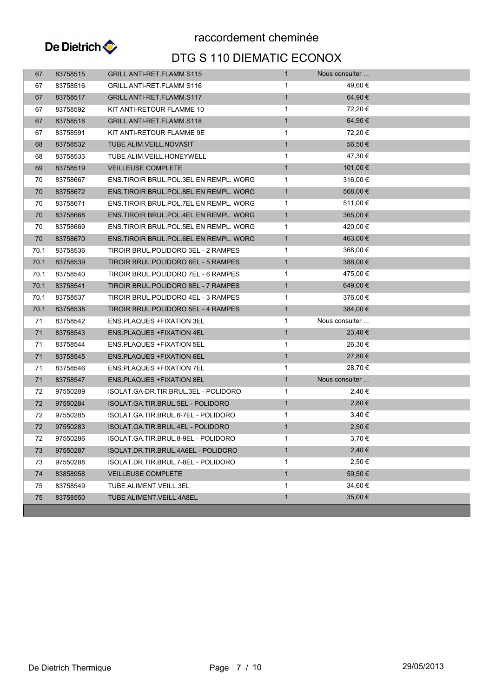

## DTG S 110 DIEMATIC ECONOX raccordement cheminée

| 67   | 83758515 | <b>GRILL.ANTI-RET.FLAMM S115</b>          | $\mathbf{1}$ | Nous consulter |  |
|------|----------|-------------------------------------------|--------------|----------------|--|
| 67   | 83758516 | GRILL.ANTI-RET.FLAMM S116                 | 1            | 49,60 €        |  |
| 67   | 83758517 | GRILL.ANTI-RET.FLAMM.S117                 | $\mathbf{1}$ | 64,90 €        |  |
| 67   | 83758592 | KIT ANTI-RETOUR FLAMME 10                 | $\mathbf{1}$ | 72,20 €        |  |
| 67   | 83758518 | GRILL.ANTI-RET.FLAMM.S118                 | $\mathbf{1}$ | 64,90 €        |  |
| 67   | 83758591 | KIT ANTI-RETOUR FLAMME 9E                 | $\mathbf{1}$ | 72,20 €        |  |
| 68   | 83758532 | TUBE ALIM.VEILL.NOVASIT                   | $\mathbf{1}$ | 56,50€         |  |
| 68   | 83758533 | TUBE ALIM VEILL HONEYWELL                 | $\mathbf{1}$ | 47,30 €        |  |
| 69   | 83758519 | <b>VEILLEUSE COMPLETE</b>                 | $\mathbf{1}$ | 101,00 €       |  |
| 70   | 83758667 | ENS. TIROIR BRUL. POL. 3EL EN REMPL. WORG | 1            | 316,00 €       |  |
| 70   | 83758672 | ENS.TIROIR BRUL.POL.8EL EN REMPL. WORG    | $\mathbf{1}$ | 568,00 €       |  |
| 70   | 83758671 | ENS TIROIR BRUL POL 7EL EN REMPL. WORG    | $\mathbf{1}$ | 511,00 €       |  |
| 70   | 83758668 | ENS.TIROIR BRUL.POL.4EL EN REMPL. WORG    | $\mathbf{1}$ | $365,00 \in$   |  |
| 70   | 83758669 | ENS TIROIR BRUL POL 5EL EN REMPL. WORG    | 1            | 420,00 €       |  |
| 70   | 83758670 | ENS.TIROIR BRUL.POL.6EL EN REMPL. WORG    | $\mathbf{1}$ | 463,00 €       |  |
| 70.1 | 83758536 | TIROIR BRUL.POLIDORO 3EL - 2 RAMPES       | 1            | 368,00 €       |  |
| 70.1 | 83758539 | TIROIR BRUL.POLIDORO 6EL - 5 RAMPES       | $\mathbf{1}$ | 388,00 €       |  |
| 70.1 | 83758540 | TIROIR BRUL.POLIDORO 7EL - 6 RAMPES       | 1            | 475,00 €       |  |
| 70.1 | 83758541 | TIROIR BRUL.POLIDORO 8EL - 7 RAMPES       | $\mathbf{1}$ | 649,00 €       |  |
| 70.1 | 83758537 | TIROIR BRUL POLIDORO 4EL - 3 RAMPES       | $\mathbf{1}$ | 376,00 €       |  |
| 70.1 | 83758538 | TIROIR BRUL.POLIDORO 5EL - 4 RAMPES       | $\mathbf{1}$ | 384,00 €       |  |
| 71   | 83758542 | <b>ENS.PLAQUES +FIXATION 3EL</b>          | 1            | Nous consulter |  |
| 71   | 83758543 | ENS.PLAQUES +FIXATION 4EL                 | $\mathbf{1}$ | 23,40 €        |  |
| 71   | 83758544 | <b>ENS.PLAQUES +FIXATION 5EL</b>          | 1            | 26,30 €        |  |
| 71   | 83758545 | ENS.PLAQUES +FIXATION 6EL                 | $\mathbf{1}$ | 27,80 €        |  |
| 71   | 83758546 | ENS.PLAQUES +FIXATION 7EL                 | 1            | 28,70 €        |  |
| 71   | 83758547 | <b>ENS.PLAQUES +FIXATION 8EL</b>          | $\mathbf{1}$ | Nous consulter |  |
| 72   | 97550289 | ISOLAT.GA-DR.TIR.BRUL.3EL - POLIDORO      | 1            | 2,40 €         |  |
| 72   | 97550284 | ISOLAT.GA.TIR.BRUL.5EL - POLIDORO         | $\mathbf{1}$ | 2,80€          |  |
| 72   | 97550285 | ISOLAT.GA.TIR.BRUL.6-7EL - POLIDORO       | $\mathbf{1}$ | 3,40€          |  |
| 72   | 97550283 | ISOLAT.GA.TIR.BRUL.4EL - POLIDORO         | $\mathbf{1}$ | 2,50 €         |  |
| 72   | 97550286 | ISOLAT.GA.TIR.BRUL.8-9EL - POLIDORO       |              | 3,70 €         |  |
| 73   | 97550287 | ISOLAT.DR.TIR.BRUL.4A6EL - POLIDORO       | $\mathbf{1}$ | 2,40€          |  |
| 73   | 97550288 | ISOLAT.DR.TIR.BRUL.7-8EL - POLIDORO       | 1            | 2,50€          |  |
| 74   | 83858958 | <b>VEILLEUSE COMPLETE</b>                 | $\mathbf{1}$ | 59,50€         |  |
| 75   | 83758549 | TUBE ALIMENT VEILL.3EL                    | 1            | 34,60 €        |  |
| 75   | 83758550 | TUBE ALIMENT.VEILL.4A8EL                  | $\mathbf{1}$ | 35,00 €        |  |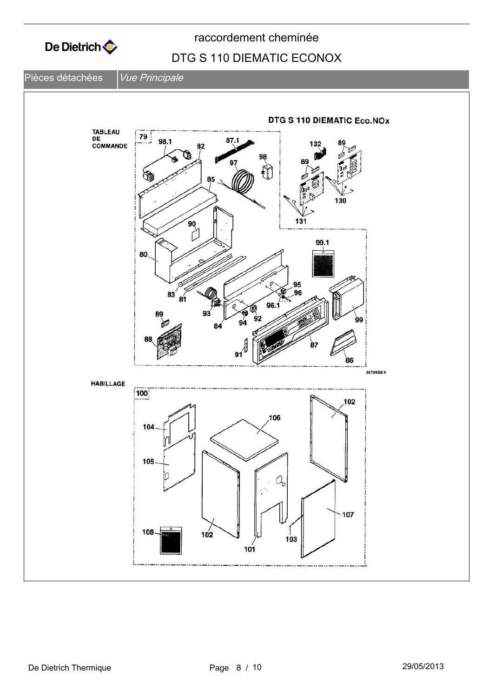

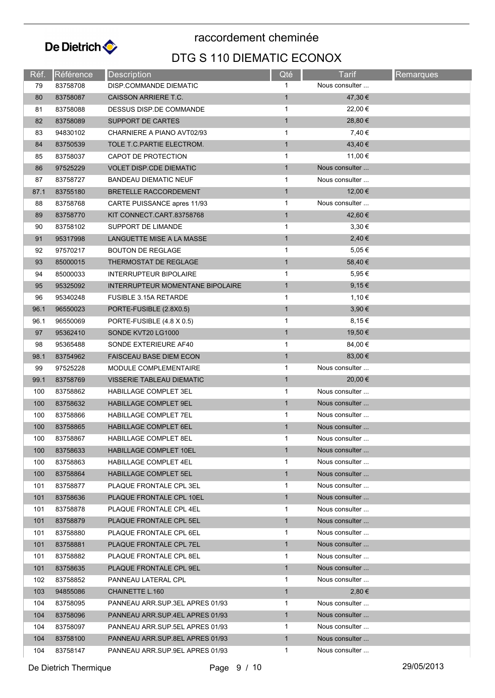

| Réf. | Référence | <b>Description</b>                      | Qté          | <b>Tarif</b>   | Remarques |
|------|-----------|-----------------------------------------|--------------|----------------|-----------|
| 79   | 83758708  | DISP.COMMANDE DIEMATIC                  | 1            | Nous consulter |           |
| 80   | 83758087  | CAISSON ARRIERE T.C.                    | $\mathbf{1}$ | 47,30 €        |           |
| 81   | 83758088  | DESSUS DISP.DE COMMANDE                 | $\mathbf{1}$ | 22,00 €        |           |
| 82   | 83758089  | SUPPORT DE CARTES                       | $\mathbf{1}$ | 28,80 €        |           |
| 83   | 94830102  | CHARNIERE A PIANO AVT02/93              | $\mathbf{1}$ | 7,40 €         |           |
| 84   | 83750539  | TOLE T.C. PARTIE ELECTROM.              | $\mathbf{1}$ | 43,40 €        |           |
| 85   | 83758037  | CAPOT DE PROTECTION                     | 1            | 11,00 €        |           |
| 86   | 97525229  | <b>VOLET DISP.CDE DIEMATIC</b>          | $\mathbf{1}$ | Nous consulter |           |
| 87   | 83758727  | <b>BANDEAU DIEMATIC NEUF</b>            | $\mathbf{1}$ | Nous consulter |           |
| 87.1 | 83755180  | BRETELLE RACCORDEMENT                   | $\mathbf{1}$ | 12,00 €        |           |
| 88   | 83758768  | CARTE PUISSANCE apres 11/93             | $\mathbf{1}$ | Nous consulter |           |
| 89   | 83758770  | KIT CONNECT CART 83758768               | $\mathbf{1}$ | 42,60 €        |           |
| 90   | 83758102  | SUPPORT DE LIMANDE                      | $\mathbf{1}$ | 3,30€          |           |
| 91   | 95317998  | LANGUETTE MISE A LA MASSE               | $\mathbf{1}$ | 2,40€          |           |
| 92   | 97570217  | <b>BOUTON DE REGLAGE</b>                | $\mathbf{1}$ | 5,05€          |           |
| 93   | 85000015  | THERMOSTAT DE REGLAGE                   | $\mathbf{1}$ | 58,40 €        |           |
| 94   | 85000033  | <b>INTERRUPTEUR BIPOLAIRE</b>           | $\mathbf{1}$ | 5,95€          |           |
| 95   | 95325092  | <b>INTERRUPTEUR MOMENTANE BIPOLAIRE</b> | $\mathbf{1}$ | 9,15€          |           |
| 96   | 95340248  | <b>FUSIBLE 3.15A RETARDE</b>            | $\mathbf{1}$ | 1,10 €         |           |
| 96.1 | 96550023  | PORTE-FUSIBLE (2.8X0.5)                 | $\mathbf{1}$ | 3,90 €         |           |
| 96.1 | 96550069  | PORTE-FUSIBLE (4.8 X 0.5)               | $\mathbf{1}$ | 8,15€          |           |
| 97   | 95362410  | SONDE KVT20 LG1000                      | $\mathbf{1}$ | 19,50 €        |           |
| 98   | 95365488  | SONDE EXTERIEURE AF40                   | $\mathbf{1}$ | 84,00 €        |           |
| 98.1 | 83754962  | <b>FAISCEAU BASE DIEM ECON</b>          | $\mathbf{1}$ | 83,00 €        |           |
| 99   | 97525228  | MODULE COMPLEMENTAIRE                   | $\mathbf{1}$ | Nous consulter |           |
| 99.1 | 83758769  | VISSERIE TABLEAU DIEMATIC               | $\mathbf{1}$ | 20,00 €        |           |
| 100  | 83758862  | <b>HABILLAGE COMPLET 3EL</b>            | $\mathbf{1}$ | Nous consulter |           |
| 100  | 83758632  | <b>HABILLAGE COMPLET 9EL</b>            | $\mathbf{1}$ | Nous consulter |           |
| 100  | 83758866  | <b>HABILLAGE COMPLET 7EL</b>            | 1            | Nous consulter |           |
| 100  | 83758865  | HABILLAGE COMPLET 6EL                   | $\mathbf{1}$ | Nous consulter |           |
| 100  | 83758867  | <b>HABILLAGE COMPLET 8EL</b>            | 1            | Nous consulter |           |
| 100  | 83758633  | HABILLAGE COMPLET 10EL                  | $\mathbf{1}$ | Nous consulter |           |
| 100  | 83758863  | HABILLAGE COMPLET 4EL                   | 1            | Nous consulter |           |
| 100  | 83758864  | HABILLAGE COMPLET 5EL                   | $\mathbf{1}$ | Nous consulter |           |
| 101  | 83758877  | PLAQUE FRONTALE CPL 3EL                 | $\mathbf 1$  | Nous consulter |           |
| 101  | 83758636  | PLAQUE FRONTALE CPL 10EL                | $\mathbf{1}$ | Nous consulter |           |
| 101  | 83758878  | PLAQUE FRONTALE CPL 4EL                 | 1            | Nous consulter |           |
| 101  | 83758879  | PLAQUE FRONTALE CPL 5EL                 | $\mathbf{1}$ | Nous consulter |           |
| 101  | 83758880  | PLAQUE FRONTALE CPL 6EL                 | 1            | Nous consulter |           |
| 101  | 83758881  | PLAQUE FRONTALE CPL 7EL                 | $\mathbf{1}$ | Nous consulter |           |
| 101  | 83758882  | PLAQUE FRONTALE CPL 8EL                 | $\mathbf{1}$ | Nous consulter |           |
| 101  | 83758635  | PLAQUE FRONTALE CPL 9EL                 | $\mathbf{1}$ | Nous consulter |           |
| 102  | 83758852  | PANNEAU LATERAL CPL                     | 1            | Nous consulter |           |
| 103  | 94855086  | CHAINETTE L.160                         | $\mathbf{1}$ | 2,80 €         |           |
| 104  | 83758095  | PANNEAU ARR.SUP.3EL APRES 01/93         | 1            | Nous consulter |           |
| 104  | 83758096  | PANNEAU ARR.SUP.4EL APRES 01/93         | $\mathbf{1}$ | Nous consulter |           |
| 104  | 83758097  | PANNEAU ARR.SUP.5EL APRES 01/93         | 1            | Nous consulter |           |
| 104  | 83758100  | PANNEAU ARR.SUP.8EL APRES 01/93         | $\mathbf{1}$ | Nous consulter |           |
| 104  | 83758147  | PANNEAU ARR.SUP.9EL APRES 01/93         | $\mathbf{1}$ | Nous consulter |           |